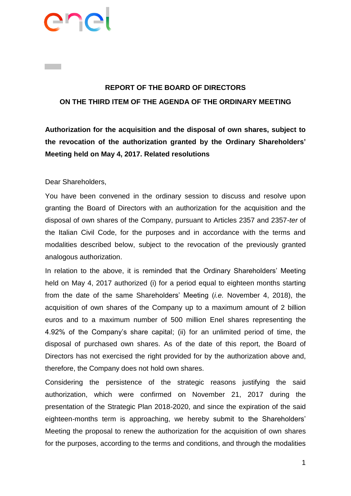

# **REPORT OF THE BOARD OF DIRECTORS ON THE THIRD ITEM OF THE AGENDA OF THE ORDINARY MEETING**

**Authorization for the acquisition and the disposal of own shares, subject to the revocation of the authorization granted by the Ordinary Shareholders' Meeting held on May 4, 2017. Related resolutions**

#### Dear Shareholders,

You have been convened in the ordinary session to discuss and resolve upon granting the Board of Directors with an authorization for the acquisition and the disposal of own shares of the Company, pursuant to Articles 2357 and 2357-*ter* of the Italian Civil Code, for the purposes and in accordance with the terms and modalities described below, subject to the revocation of the previously granted analogous authorization.

In relation to the above, it is reminded that the Ordinary Shareholders' Meeting held on May 4, 2017 authorized (i) for a period equal to eighteen months starting from the date of the same Shareholders' Meeting (*i.e.* November 4, 2018), the acquisition of own shares of the Company up to a maximum amount of 2 billion euros and to a maximum number of 500 million Enel shares representing the 4.92% of the Company's share capital; (ii) for an unlimited period of time, the disposal of purchased own shares. As of the date of this report, the Board of Directors has not exercised the right provided for by the authorization above and, therefore, the Company does not hold own shares.

Considering the persistence of the strategic reasons justifying the said authorization, which were confirmed on November 21, 2017 during the presentation of the Strategic Plan 2018-2020, and since the expiration of the said eighteen-months term is approaching, we hereby submit to the Shareholders' Meeting the proposal to renew the authorization for the acquisition of own shares for the purposes, according to the terms and conditions, and through the modalities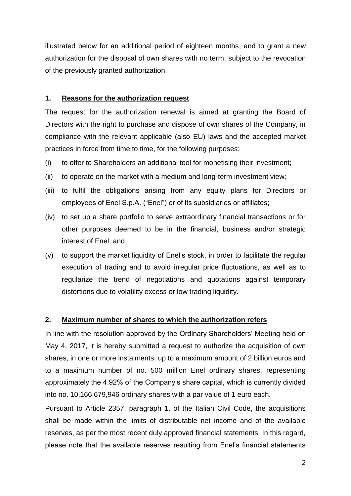illustrated below for an additional period of eighteen months, and to grant a new authorization for the disposal of own shares with no term, subject to the revocation of the previously granted authorization.

#### **1. Reasons for the authorization request**

The request for the authorization renewal is aimed at granting the Board of Directors with the right to purchase and dispose of own shares of the Company, in compliance with the relevant applicable (also EU) laws and the accepted market practices in force from time to time, for the following purposes:

- (i) to offer to Shareholders an additional tool for monetising their investment;
- (ii) to operate on the market with a medium and long-term investment view;
- (iii) to fulfil the obligations arising from any equity plans for Directors or employees of Enel S.p.A. ("Enel") or of its subsidiaries or affiliates;
- (iv) to set up a share portfolio to serve extraordinary financial transactions or for other purposes deemed to be in the financial, business and/or strategic interest of Enel; and
- (v) to support the market liquidity of Enel's stock, in order to facilitate the regular execution of trading and to avoid irregular price fluctuations, as well as to regularize the trend of negotiations and quotations against temporary distortions due to volatility excess or low trading liquidity.

## **2. Maximum number of shares to which the authorization refers**

In line with the resolution approved by the Ordinary Shareholders' Meeting held on May 4, 2017, it is hereby submitted a request to authorize the acquisition of own shares, in one or more instalments, up to a maximum amount of 2 billion euros and to a maximum number of no. 500 million Enel ordinary shares, representing approximately the 4.92% of the Company's share capital, which is currently divided into no. 10,166,679,946 ordinary shares with a par value of 1 euro each.

Pursuant to Article 2357, paragraph 1, of the Italian Civil Code, the acquisitions shall be made within the limits of distributable net income and of the available reserves, as per the most recent duly approved financial statements. In this regard, please note that the available reserves resulting from Enel's financial statements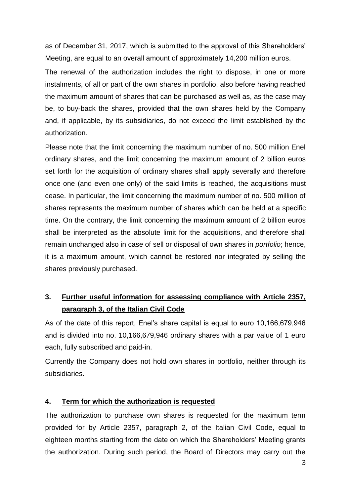as of December 31, 2017, which is submitted to the approval of this Shareholders' Meeting, are equal to an overall amount of approximately 14,200 million euros.

The renewal of the authorization includes the right to dispose, in one or more instalments, of all or part of the own shares in portfolio, also before having reached the maximum amount of shares that can be purchased as well as, as the case may be, to buy-back the shares, provided that the own shares held by the Company and, if applicable, by its subsidiaries, do not exceed the limit established by the authorization.

Please note that the limit concerning the maximum number of no. 500 million Enel ordinary shares, and the limit concerning the maximum amount of 2 billion euros set forth for the acquisition of ordinary shares shall apply severally and therefore once one (and even one only) of the said limits is reached, the acquisitions must cease. In particular, the limit concerning the maximum number of no. 500 million of shares represents the maximum number of shares which can be held at a specific time. On the contrary, the limit concerning the maximum amount of 2 billion euros shall be interpreted as the absolute limit for the acquisitions, and therefore shall remain unchanged also in case of sell or disposal of own shares in *portfolio*; hence, it is a maximum amount, which cannot be restored nor integrated by selling the shares previously purchased.

# **3. Further useful information for assessing compliance with Article 2357, paragraph 3, of the Italian Civil Code**

As of the date of this report, Enel's share capital is equal to euro 10,166,679,946 and is divided into no. 10,166,679,946 ordinary shares with a par value of 1 euro each, fully subscribed and paid-in.

Currently the Company does not hold own shares in portfolio, neither through its subsidiaries.

## **4. Term for which the authorization is requested**

The authorization to purchase own shares is requested for the maximum term provided for by Article 2357, paragraph 2, of the Italian Civil Code, equal to eighteen months starting from the date on which the Shareholders' Meeting grants the authorization. During such period, the Board of Directors may carry out the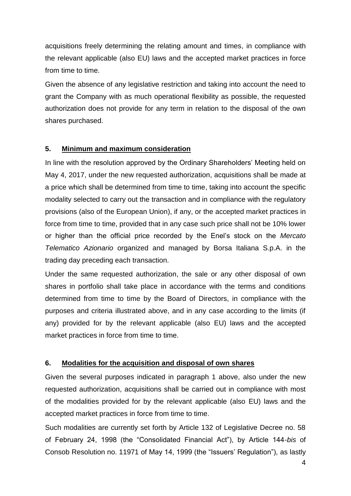acquisitions freely determining the relating amount and times, in compliance with the relevant applicable (also EU) laws and the accepted market practices in force from time to time.

Given the absence of any legislative restriction and taking into account the need to grant the Company with as much operational flexibility as possible, the requested authorization does not provide for any term in relation to the disposal of the own shares purchased.

# **5. Minimum and maximum consideration**

In line with the resolution approved by the Ordinary Shareholders' Meeting held on May 4, 2017, under the new requested authorization, acquisitions shall be made at a price which shall be determined from time to time, taking into account the specific modality selected to carry out the transaction and in compliance with the regulatory provisions (also of the European Union), if any, or the accepted market practices in force from time to time, provided that in any case such price shall not be 10% lower or higher than the official price recorded by the Enel's stock on the *Mercato Telematico Azionario* organized and managed by Borsa Italiana S.p.A. in the trading day preceding each transaction.

Under the same requested authorization, the sale or any other disposal of own shares in portfolio shall take place in accordance with the terms and conditions determined from time to time by the Board of Directors, in compliance with the purposes and criteria illustrated above, and in any case according to the limits (if any) provided for by the relevant applicable (also EU) laws and the accepted market practices in force from time to time.

## **6. Modalities for the acquisition and disposal of own shares**

Given the several purposes indicated in paragraph 1 above, also under the new requested authorization, acquisitions shall be carried out in compliance with most of the modalities provided for by the relevant applicable (also EU) laws and the accepted market practices in force from time to time.

Such modalities are currently set forth by Article 132 of Legislative Decree no. 58 of February 24, 1998 (the "Consolidated Financial Act"), by Article 144-*bis* of Consob Resolution no. 11971 of May 14, 1999 (the "Issuers' Regulation"), as lastly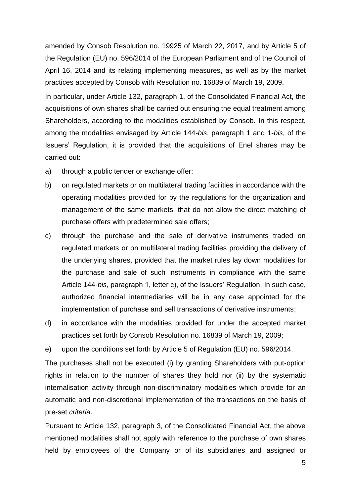amended by Consob Resolution no. 19925 of March 22, 2017, and by Article 5 of the Regulation (EU) no. 596/2014 of the European Parliament and of the Council of April 16, 2014 and its relating implementing measures, as well as by the market practices accepted by Consob with Resolution no. 16839 of March 19, 2009.

In particular, under Article 132, paragraph 1, of the Consolidated Financial Act, the acquisitions of own shares shall be carried out ensuring the equal treatment among Shareholders, according to the modalities established by Consob. In this respect, among the modalities envisaged by Article 144-*bis*, paragraph 1 and 1-*bis*, of the Issuers' Regulation, it is provided that the acquisitions of Enel shares may be carried out:

- a) through a public tender or exchange offer;
- b) on regulated markets or on multilateral trading facilities in accordance with the operating modalities provided for by the regulations for the organization and management of the same markets, that do not allow the direct matching of purchase offers with predetermined sale offers;
- c) through the purchase and the sale of derivative instruments traded on regulated markets or on multilateral trading facilities providing the delivery of the underlying shares, provided that the market rules lay down modalities for the purchase and sale of such instruments in compliance with the same Article 144-*bis*, paragraph 1, letter c), of the Issuers' Regulation. In such case, authorized financial intermediaries will be in any case appointed for the implementation of purchase and sell transactions of derivative instruments;
- d) in accordance with the modalities provided for under the accepted market practices set forth by Consob Resolution no. 16839 of March 19, 2009;

e) upon the conditions set forth by Article 5 of Regulation (EU) no. 596/2014.

The purchases shall not be executed (i) by granting Shareholders with put-option rights in relation to the number of shares they hold nor (ii) by the systematic internalisation activity through non-discriminatory modalities which provide for an automatic and non-discretional implementation of the transactions on the basis of pre-set *criteria*.

Pursuant to Article 132, paragraph 3, of the Consolidated Financial Act, the above mentioned modalities shall not apply with reference to the purchase of own shares held by employees of the Company or of its subsidiaries and assigned or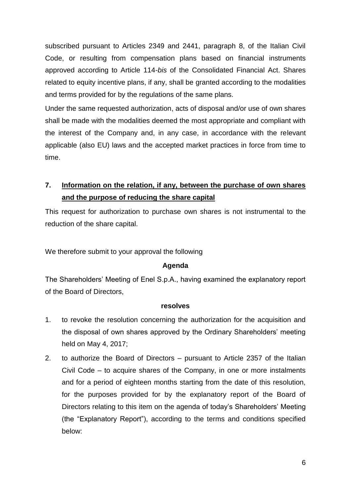subscribed pursuant to Articles 2349 and 2441, paragraph 8, of the Italian Civil Code, or resulting from compensation plans based on financial instruments approved according to Article 114-*bis* of the Consolidated Financial Act. Shares related to equity incentive plans, if any, shall be granted according to the modalities and terms provided for by the regulations of the same plans.

Under the same requested authorization, acts of disposal and/or use of own shares shall be made with the modalities deemed the most appropriate and compliant with the interest of the Company and, in any case, in accordance with the relevant applicable (also EU) laws and the accepted market practices in force from time to time.

**7. Information on the relation, if any, between the purchase of own shares and the purpose of reducing the share capital**

This request for authorization to purchase own shares is not instrumental to the reduction of the share capital.

We therefore submit to your approval the following

#### **Agenda**

The Shareholders' Meeting of Enel S.p.A., having examined the explanatory report of the Board of Directors,

#### **resolves**

- 1. to revoke the resolution concerning the authorization for the acquisition and the disposal of own shares approved by the Ordinary Shareholders' meeting held on May 4, 2017;
- 2. to authorize the Board of Directors pursuant to Article 2357 of the Italian Civil Code – to acquire shares of the Company, in one or more instalments and for a period of eighteen months starting from the date of this resolution, for the purposes provided for by the explanatory report of the Board of Directors relating to this item on the agenda of today's Shareholders' Meeting (the "Explanatory Report"), according to the terms and conditions specified below: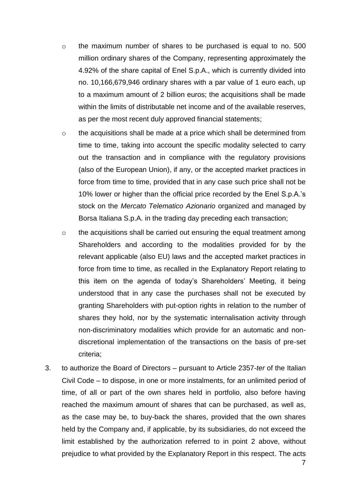- o the maximum number of shares to be purchased is equal to no. 500 million ordinary shares of the Company, representing approximately the 4.92% of the share capital of Enel S.p.A., which is currently divided into no. 10,166,679,946 ordinary shares with a par value of 1 euro each, up to a maximum amount of 2 billion euros; the acquisitions shall be made within the limits of distributable net income and of the available reserves, as per the most recent duly approved financial statements;
- o the acquisitions shall be made at a price which shall be determined from time to time, taking into account the specific modality selected to carry out the transaction and in compliance with the regulatory provisions (also of the European Union), if any, or the accepted market practices in force from time to time, provided that in any case such price shall not be 10% lower or higher than the official price recorded by the Enel S.p.A.'s stock on the *Mercato Telematico Azionario* organized and managed by Borsa Italiana S.p.A. in the trading day preceding each transaction;
- o the acquisitions shall be carried out ensuring the equal treatment among Shareholders and according to the modalities provided for by the relevant applicable (also EU) laws and the accepted market practices in force from time to time, as recalled in the Explanatory Report relating to this item on the agenda of today's Shareholders' Meeting, it being understood that in any case the purchases shall not be executed by granting Shareholders with put-option rights in relation to the number of shares they hold, nor by the systematic internalisation activity through non-discriminatory modalities which provide for an automatic and nondiscretional implementation of the transactions on the basis of pre-set criteria;
- 3. to authorize the Board of Directors pursuant to Article 2357-*ter* of the Italian Civil Code – to dispose, in one or more instalments, for an unlimited period of time, of all or part of the own shares held in portfolio, also before having reached the maximum amount of shares that can be purchased, as well as, as the case may be, to buy-back the shares, provided that the own shares held by the Company and, if applicable, by its subsidiaries, do not exceed the limit established by the authorization referred to in point 2 above, without prejudice to what provided by the Explanatory Report in this respect. The acts

7